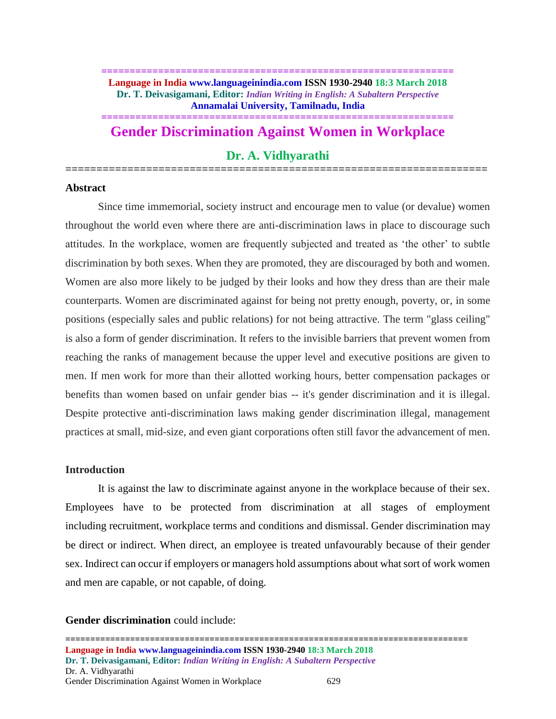### **============================================================== Language in India www.languageinindia.com ISSN 1930-2940 18:3 March 2018 Dr. T. Deivasigamani, Editor:** *Indian Writing in English: A Subaltern Perspective* **Annamalai University, Tamilnadu, India**

# **============================================================== Gender Discrimination Against Women in Workplace**

# **Dr. A. Vidhyarathi ====================================================================**

### **Abstract**

Since time immemorial, society instruct and encourage men to value (or devalue) women throughout the world even where there are anti-discrimination laws in place to discourage such attitudes. In the workplace, women are frequently subjected and treated as 'the other' to subtle discrimination by both sexes. When they are promoted, they are discouraged by both and women. Women are also more likely to be judged by their looks and how they dress than are their male counterparts. Women are discriminated against for being not pretty enough, poverty, or, in some positions (especially sales and [public relations\)](https://www.thebalance.com/managing-a-public-relations-campaign-39186) for not being attractive. The term "glass ceiling" is also [a form of gender discrimination.](https://www.thebalance.com/gender-discrimination-in-the-workplace-3515145) It refers to the invisible barriers that prevent women from reaching the ranks of management because the upper level and executive positions are given to men. If men work for more than their allotted working hours, better compensation packages or benefits than women based on unfair gender bias -- it's gender discrimination and it is illegal. Despite protective anti-discrimination laws making gender discrimination illegal, management practices at small, mid-size, and even giant corporations often still favor the advancement of men.

### **Introduction**

It is against the law to discriminate against anyone in the workplace because of their sex. Employees have to be protected from discrimination at all stages of employment including [recruitment,](https://www.humanrightscommission.vic.gov.au/the-workplace/employer-responsibilities/recruitment) [workplace terms and conditions](https://www.humanrightscommission.vic.gov.au/the-workplace/employer-responsibilities/terms-a-conditions) and [dismissal.](https://www.humanrightscommission.vic.gov.au/the-workplace/employer-responsibilities/dismissal) Gender discrimination may be direct or indirect. When direct, an employee is treated unfavourably because of their gender sex. Indirect can occur if employers or managers hold assumptions about what sort of work women and men are capable, or not capable, of doing.

## **Gender discrimination** could include: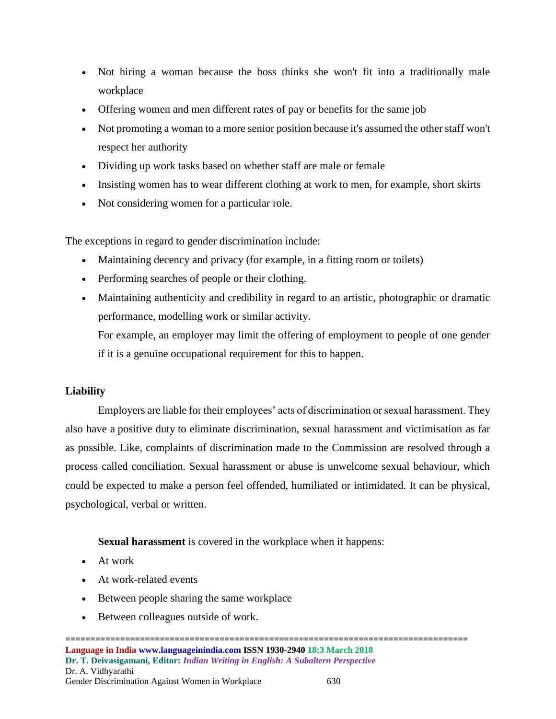- Not hiring a woman because the boss thinks she won't fit into a traditionally male workplace
- Offering women and men different rates of pay or benefits for the same job
- Not promoting a woman to a more senior position because it's assumed the other staff won't respect her authority
- Dividing up work tasks based on whether staff are male or female
- Insisting women has to wear different clothing at work to men, for example, short skirts
- Not considering women for a particular role.

The exceptions in regard to gender discrimination include:

- Maintaining decency and privacy (for example, in a fitting room or toilets)
- Performing searches of people or their clothing.
- Maintaining authenticity and credibility in regard to an artistic, photographic or dramatic performance, modelling work or similar activity.

For example, an employer may limit the offering of employment to people of one gender if it is a genuine occupational requirement for this to happen.

## **Liability**

Employers are liable for their employees' acts of discrimination or sexual harassment. They also have a [positive duty](https://www.humanrightscommission.vic.gov.au/the-workplace/positive-duty) to eliminate discrimination, sexual harassment and victimisation as far as possible. Like, complaints of discrimination made to the Commission are resolved through a process called conciliation. Sexual harassment or abuse is unwelcome sexual behaviour, which could be expected to make a person feel offended, humiliated or intimidated. It can be physical, psychological, verbal or written.

**Sexual harassment** is covered in the workplace when it happens:

- At work
- At work-related events
- Between people sharing the same workplace
- Between colleagues outside of work.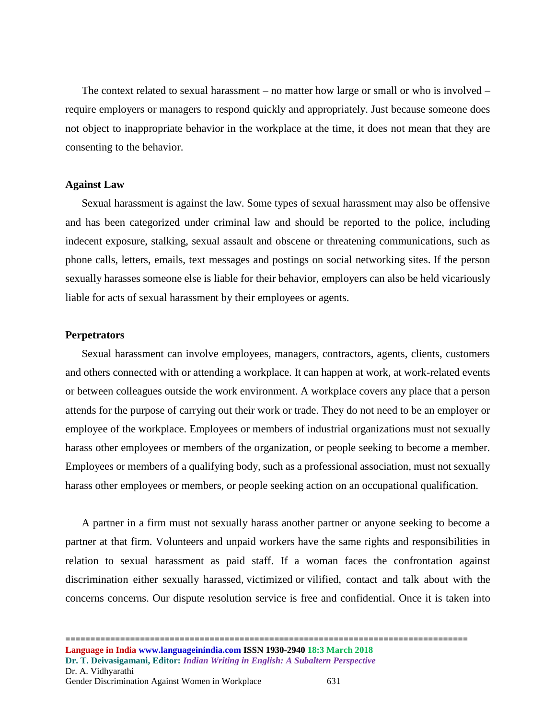The context related to sexual harassment – no matter how large or small or who is involved – require employers or managers to respond quickly and appropriately. Just because someone does not object to inappropriate behavior in the workplace at the time, it does not mean that they are consenting to the behavior.

### **Against Law**

Sexual harassment is against the law. Some types of sexual harassment may also be offensive and has been categorized under criminal law and should be reported to the police, including indecent exposure, stalking, sexual assault and obscene or threatening communications, such as phone calls, letters, emails, text messages and postings on social networking sites. If the person sexually harasses someone else is liable for their behavior, employers can also be held [vicariously](https://www.humanrightscommission.vic.gov.au/the-workplace/employer-responsibilities/liability)  [liable](https://www.humanrightscommission.vic.gov.au/the-workplace/employer-responsibilities/liability) for acts of sexual harassment by their employees or agents.

#### **Perpetrators**

Sexual harassment can involve employees, managers, contractors, agents, clients, customers and others connected with or attending a workplace. It can happen at work, at work-related events or between colleagues outside the work environment. A workplace covers any place that a person attends for the purpose of carrying out their work or trade. They do not need to be an employer or employee of the workplace. Employees or members of industrial organizations must not sexually harass other employees or members of the organization, or people seeking to become a member. Employees or members of a qualifying body, such as a professional association, must not sexually harass other employees or members, or people seeking action on an occupational qualification.

A partner in a firm must not sexually harass another partner or anyone seeking to become a partner at that firm. Volunteers and unpaid workers have the same rights and responsibilities in relation to sexual harassment as paid staff. If a woman faces the confrontation against discrimination either [sexually harassed,](https://www.humanrightscommission.vic.gov.au/discrimination/discrimination/types-of-discrimination/sexual-harassment) victimized or [vilified,](https://www.humanrightscommission.vic.gov.au/discrimination/discrimination/types-of-discrimination/racial-and-religious-vilification) contact and talk about with the concerns concerns. Our dispute resolution service is free and confidential. Once it is taken into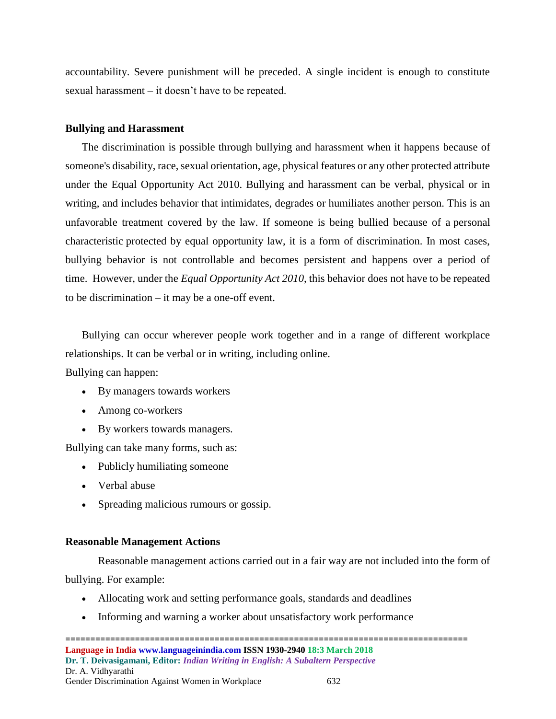accountability. Severe punishment will be preceded. A single incident is enough to constitute sexual harassment – it doesn't have to be repeated.

#### **Bullying and Harassment**

The discrimination is possible through bullying and harassment when it happens because of someone's disability, race, sexual orientation, age, physical features or any other protected attribute under the Equal Opportunity Act 2010. Bullying and harassment can be verbal, physical or in writing, and includes behavior that intimidates, degrades or humiliates another person. This is an unfavorable treatment covered by the law. If someone is being bullied because of a [personal](https://www.humanrightscommission.vic.gov.au/index.php/discrimination/types-of-discrimination)  [characteristic](https://www.humanrightscommission.vic.gov.au/index.php/discrimination/types-of-discrimination) protected by equal opportunity law, it is a form of discrimination. In most cases, bullying behavior is not controllable and becomes persistent and happens over a period of time. However, under the *Equal Opportunity Act 2010*, this behavior does not have to be repeated to be discrimination – it may be a one-off event.

Bullying can occur wherever people work together and in a range of different workplace relationships. It can be verbal or in writing, including online.

Bullying can happen:

- By managers towards workers
- Among co-workers
- By workers towards managers.

Bullying can take many forms, such as:

- Publicly humiliating someone
- Verbal abuse
- Spreading malicious rumours or gossip.

#### **Reasonable Management Actions**

Reasonable management actions carried out in a fair way are not included into the form of bullying. For example:

- Allocating work and setting performance goals, standards and deadlines
- Informing and warning a worker about unsatisfactory work performance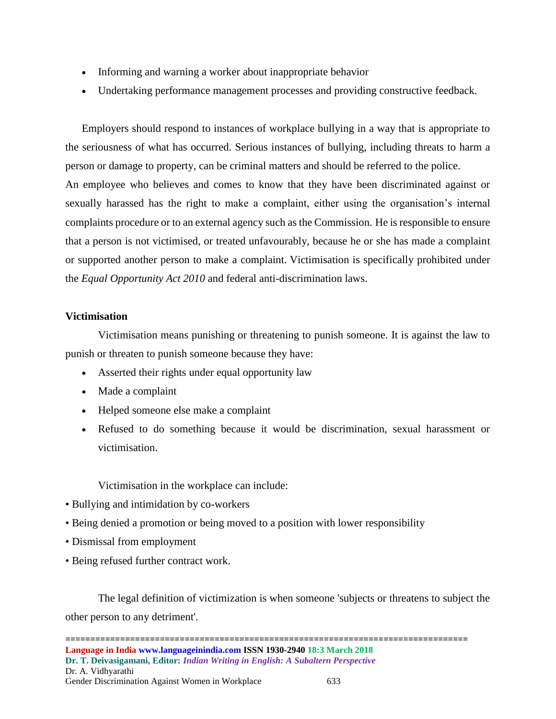- Informing and warning a worker about inappropriate behavior
- Undertaking performance management processes and providing constructive feedback.

Employers should respond to instances of workplace bullying in a way that is appropriate to the seriousness of what has occurred. Serious instances of bullying, including threats to harm a person or damage to property, can be criminal matters and should be referred to the police. An employee who believes and comes to know that they have been discriminated against or sexually harassed has the right to make a complaint, either using the organisation's internal complaints procedure or to an external agency such as the Commission. He is responsible to ensure that a person is not victimised, or treated unfavourably, because he or she has made a complaint or supported another person to make a complaint. Victimisation is specifically prohibited under the *Equal Opportunity Act 2010* and [federal anti-discrimination laws.](https://www.humanrightscommission.vic.gov.au/home/the-law/federal-law)

## **Victimisation**

Victimisation means punishing or threatening to punish someone. It is against the law to punish or threaten to punish someone because they have:

- Asserted their rights under equal opportunity law
- Made a complaint
- Helped someone else make a complaint
- Refused to do something because it would be discrimination, sexual harassment or victimisation.

Victimisation in the workplace can include:

- [Bullying](https://www.humanrightscommission.vic.gov.au/the-workplace/bullying) and intimidation by co-workers
- Being denied a promotion or being moved to a position with lower responsibility
- [Dismissal](https://www.humanrightscommission.vic.gov.au/the-workplace/employer-responsibilities/dismissal) from employment
- Being refused further contract work.

The legal definition of victimization is when someone 'subjects or threatens to subject the other person to any detriment'.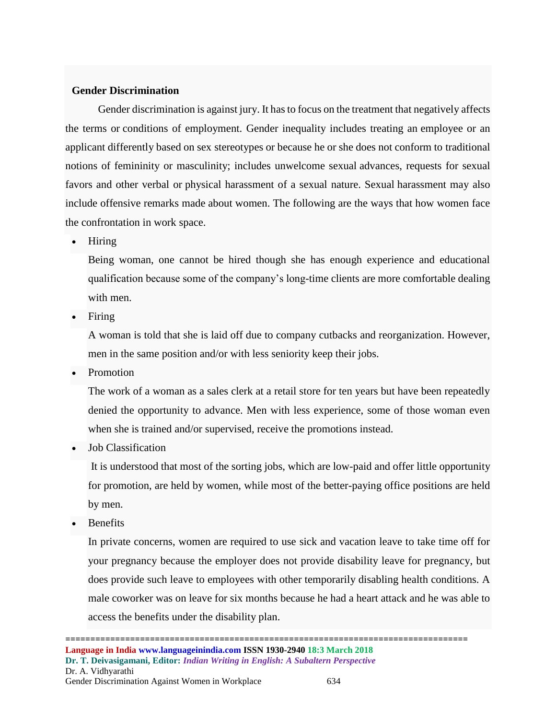# **Gender Discrimination**

Gender discrimination is against jury. It has to focus on the treatment that negatively affects the terms or conditions of employment. Gender inequality includes treating an employee or an applicant differently based on sex stereotypes or because he or she does not conform to traditional notions of femininity or masculinity; includes unwelcome sexual advances, requests for sexual favors and other verbal or physical harassment of a sexual nature. Sexual harassment may also include offensive remarks made about women. The following are the ways that how women face the confrontation in work space.

• Hiring

Being woman, one cannot be hired though she has enough experience and educational qualification because some of the company's long-time clients are more comfortable dealing with men.

• Firing

A woman is told that she is laid off due to company cutbacks and reorganization. However, men in the same position and/or with less seniority keep their jobs.

• Promotion

The work of a woman as a sales clerk at a retail store for ten years but have been repeatedly denied the opportunity to advance. Men with less experience, some of those woman even when she is trained and/or supervised, receive the promotions instead.

• Job Classification

It is understood that most of the sorting jobs, which are low-paid and offer little opportunity for promotion, are held by women, while most of the better-paying office positions are held by men.

**Benefits** 

In private concerns, women are required to use sick and vacation leave to take time off for your pregnancy because the employer does not provide disability leave for pregnancy, but does provide such leave to employees with other temporarily disabling health conditions. A male coworker was on leave for six months because he had a heart attack and he was able to access the benefits under the disability plan.